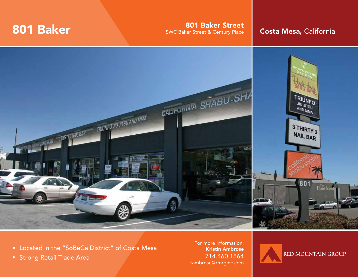**801 Baker Street 801 Baker Street 801 Baker Street 801 Baker Street 8 Century Place Costa Mesa, California** 



- Located in the "SoBeCa District" of Costa Mesa
- Strong Retail Trade Area

For more information: Kristin Ambrose 714.460.1564 kambrose@rmrginc.com

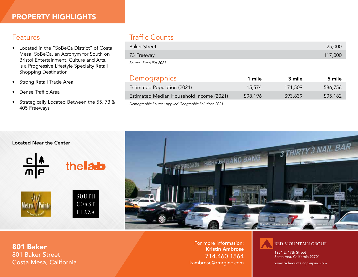### Features

- Located in the "SoBeCa District" of Costa Mesa. SoBeCa, an Acronym for South on Bristol Entertainment, Culture and Arts, is a Progressive Lifestyle Specialty Retail Shopping Destination
- Strong Retail Trade Area
- Dense Traffic Area
- Strategically Located Between the 55, 73 & 405 Freeways

# Traffic Counts

| <b>Baker Street</b>   | 25,000  |
|-----------------------|---------|
| 73 Freeway            | 117,000 |
| Source: SitesUSA 2021 |         |

## Demographics 1 mile 3 mile 5 mile

| <u> — stransfer stransfer som</u>                     |          |          |          |
|-------------------------------------------------------|----------|----------|----------|
| Estimated Population (2021)                           | 15.574   | 171.509  | 586,756  |
| Estimated Median Household Income (2021)              | \$98,196 | \$93,839 | \$95,182 |
| Demographic Source: Applied Geographic Solutions 2021 |          |          |          |

Located Near the Center











801 Baker 801 Baker Street Costa Mesa, California

For more information: Kristin Ambrose 714.460.1564 kambrose@rmrginc.com



1234 E. 17th Street Santa Ana, California 92701

www.redmountaingroupinc.com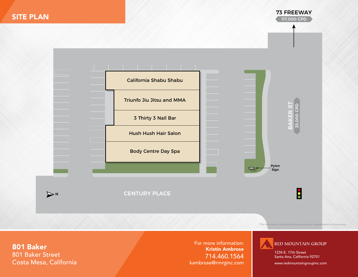

*This information is provided without warranty or representation to its accuracy.*

801 Baker 801 Baker Street Costa Mesa, California

For more information: Kristin Ambrose 714.460.1564 kambrose@rmrginc.com



1234 E. 17th Street Santa Ana, California 92701

www.redmountaingroupinc.com